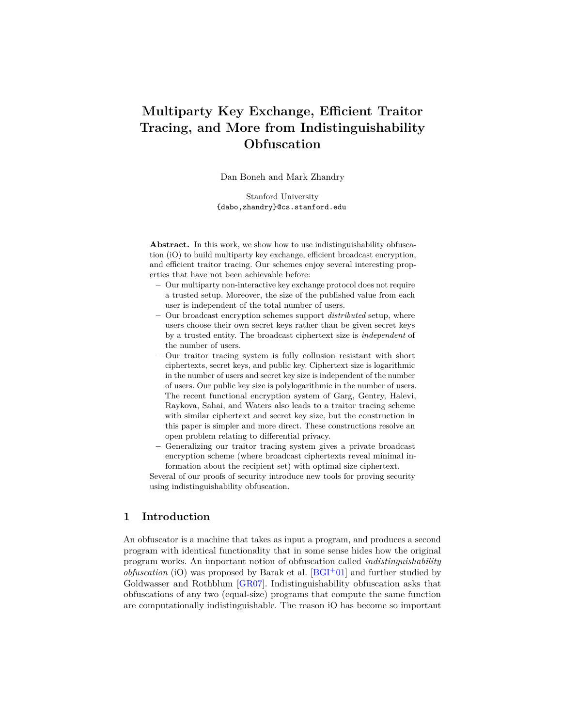# **Multiparty Key Exchange, Efficient Traitor Tracing, and More from Indistinguishability Obfuscation**

Dan Boneh and Mark Zhandry

Stanford University {dabo,zhandry}@cs.stanford.edu

Abstract. In this work, we show how to use indistinguishability obfuscation (iO) to build multiparty key exchange, efficient broadcast encryption, and efficient traitor tracing. Our schemes enjoy several interesting properties that have not been achievable before:

- **–** Our multiparty non-interactive key exchange protocol does not require a trusted setup. Moreover, the size of the published value from each user is independent of the total number of users.
- **–** Our broadcast encryption schemes support *distributed* setup, where users choose their own secret keys rather than be given secret keys by a trusted entity. The broadcast ciphertext size is *independent* of the number of users.
- **–** Our traitor tracing system is fully collusion resistant with short ciphertexts, secret keys, and public key. Ciphertext size is logarithmic in the number of users and secret key size is independent of the number of users. Our public key size is polylogarithmic in the number of users. The recent functional encryption system of Garg, Gentry, Halevi, Raykova, Sahai, and Waters also leads to a traitor tracing scheme with similar ciphertext and secret key size, but the construction in this paper is simpler and more direct. These constructions resolve an open problem relating to differential privacy.
- **–** Generalizing our traitor tracing system gives a private broadcast encryption scheme (where broadcast ciphertexts reveal minimal information about the recipient set) with optimal size ciphertext.

Several of our proofs of security introduce new tools for proving security using indistinguishability obfuscation.

# **1 Introduction**

An obfuscator is a machine that takes as input a program, and produces a second program with identical functionality that in some sense hides how the original program works. An important notion of obfuscation called *indistinguishability obfuscation* (iO) was proposed by Barak et al.  $[BGI^+01]$  $[BGI^+01]$  and further studied by Goldwasser and Rothblum [\[GR07\]](#page-17-0). Indistinguishability obfuscation asks that obfuscations of any two (equal-size) programs that compute the same function are computationally indistinguishable. The reason iO has become so important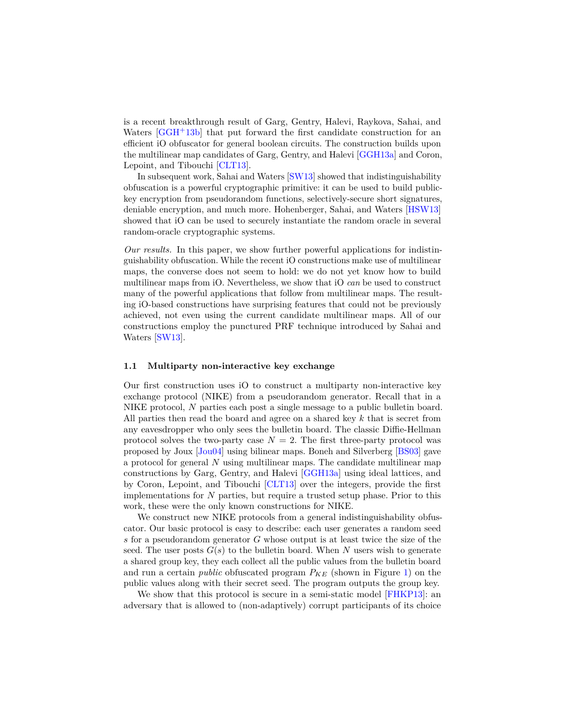is a recent breakthrough result of Garg, Gentry, Halevi, Raykova, Sahai, and Waters  $[GGH^+13b]$  $[GGH^+13b]$  that put forward the first candidate construction for an efficient iO obfuscator for general boolean circuits. The construction builds upon the multilinear map candidates of Garg, Gentry, and Halevi [\[GGH13a\]](#page-17-2) and Coron, Lepoint, and Tibouchi [\[CLT13\]](#page-16-0).

In subsequent work, Sahai and Waters [\[SW13\]](#page-18-0) showed that indistinguishability obfuscation is a powerful cryptographic primitive: it can be used to build publickey encryption from pseudorandom functions, selectively-secure short signatures, deniable encryption, and much more. Hohenberger, Sahai, and Waters [\[HSW13\]](#page-17-3) showed that iO can be used to securely instantiate the random oracle in several random-oracle cryptographic systems.

*Our results.* In this paper, we show further powerful applications for indistinguishability obfuscation. While the recent iO constructions make use of multilinear maps, the converse does not seem to hold: we do not yet know how to build multilinear maps from iO. Nevertheless, we show that iO *can* be used to construct many of the powerful applications that follow from multilinear maps. The resulting iO-based constructions have surprising features that could not be previously achieved, not even using the current candidate multilinear maps. All of our constructions employ the punctured PRF technique introduced by Sahai and Waters [\[SW13\]](#page-18-0).

## **1.1 Multiparty non-interactive key exchange**

Our first construction uses iO to construct a multiparty non-interactive key exchange protocol (NIKE) from a pseudorandom generator. Recall that in a NIKE protocol, *N* parties each post a single message to a public bulletin board. All parties then read the board and agree on a shared key *k* that is secret from any eavesdropper who only sees the bulletin board. The classic Diffie-Hellman protocol solves the two-party case  $N = 2$ . The first three-party protocol was proposed by Joux [\[Jou04\]](#page-18-1) using bilinear maps. Boneh and Silverberg [\[BS03\]](#page-16-1) gave a protocol for general *N* using multilinear maps. The candidate multilinear map constructions by Garg, Gentry, and Halevi [\[GGH13a\]](#page-17-2) using ideal lattices, and by Coron, Lepoint, and Tibouchi [\[CLT13\]](#page-16-0) over the integers, provide the first implementations for *N* parties, but require a trusted setup phase. Prior to this work, these were the only known constructions for NIKE.

We construct new NIKE protocols from a general indistinguishability obfuscator. Our basic protocol is easy to describe: each user generates a random seed *s* for a pseudorandom generator *G* whose output is at least twice the size of the seed. The user posts  $G(s)$  to the bulletin board. When N users wish to generate a shared group key, they each collect all the public values from the bulletin board and run a certain *public* obfuscated program *PKE* (shown in Figure [1\)](#page-2-0) on the public values along with their secret seed. The program outputs the group key.

We show that this protocol is secure in a semi-static model [\[FHKP13\]](#page-17-4): an adversary that is allowed to (non-adaptively) corrupt participants of its choice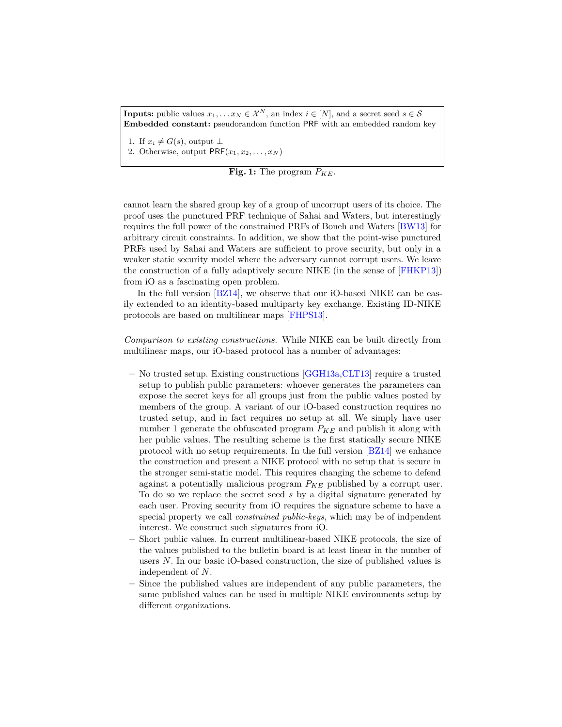<span id="page-2-0"></span>**Inputs:** public values  $x_1, \ldots x_N \in \mathcal{X}^N$ , an index  $i \in [N]$ , and a secret seed  $s \in \mathcal{S}$ **Embedded constant:** pseudorandom function PRF with an embedded random key

1. If  $x_i \neq G(s)$ , output ⊥

2. Otherwise, output  $PRF(x_1, x_2, \ldots, x_N)$ 



cannot learn the shared group key of a group of uncorrupt users of its choice. The proof uses the punctured PRF technique of Sahai and Waters, but interestingly requires the full power of the constrained PRFs of Boneh and Waters [\[BW13\]](#page-16-2) for arbitrary circuit constraints. In addition, we show that the point-wise punctured PRFs used by Sahai and Waters are sufficient to prove security, but only in a weaker static security model where the adversary cannot corrupt users. We leave the construction of a fully adaptively secure NIKE (in the sense of [\[FHKP13\]](#page-17-4)) from iO as a fascinating open problem.

In the full version [\[BZ14\]](#page-16-3), we observe that our iO-based NIKE can be easily extended to an identity-based multiparty key exchange. Existing ID-NIKE protocols are based on multilinear maps [\[FHPS13\]](#page-17-5).

*Comparison to existing constructions.* While NIKE can be built directly from multilinear maps, our iO-based protocol has a number of advantages:

- **–** No trusted setup. Existing constructions [\[GGH13a,](#page-17-2)[CLT13\]](#page-16-0) require a trusted setup to publish public parameters: whoever generates the parameters can expose the secret keys for all groups just from the public values posted by members of the group. A variant of our iO-based construction requires no trusted setup, and in fact requires no setup at all. We simply have user number 1 generate the obfuscated program *PKE* and publish it along with her public values. The resulting scheme is the first statically secure NIKE protocol with no setup requirements. In the full version [\[BZ14\]](#page-16-3) we enhance the construction and present a NIKE protocol with no setup that is secure in the stronger semi-static model. This requires changing the scheme to defend against a potentially malicious program *PKE* published by a corrupt user. To do so we replace the secret seed *s* by a digital signature generated by each user. Proving security from iO requires the signature scheme to have a special property we call *constrained public-keys*, which may be of indpendent interest. We construct such signatures from iO.
- **–** Short public values. In current multilinear-based NIKE protocols, the size of the values published to the bulletin board is at least linear in the number of users *N*. In our basic iO-based construction, the size of published values is independent of *N*.
- **–** Since the published values are independent of any public parameters, the same published values can be used in multiple NIKE environments setup by different organizations.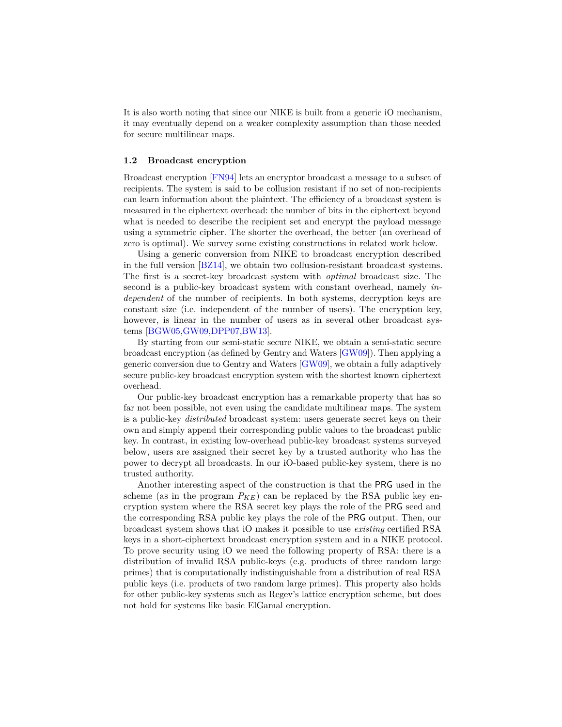It is also worth noting that since our NIKE is built from a generic iO mechanism, it may eventually depend on a weaker complexity assumption than those needed for secure multilinear maps.

#### **1.2 Broadcast encryption**

Broadcast encryption [\[FN94\]](#page-17-6) lets an encryptor broadcast a message to a subset of recipients. The system is said to be collusion resistant if no set of non-recipients can learn information about the plaintext. The efficiency of a broadcast system is measured in the ciphertext overhead: the number of bits in the ciphertext beyond what is needed to describe the recipient set and encrypt the payload message using a symmetric cipher. The shorter the overhead, the better (an overhead of zero is optimal). We survey some existing constructions in related work below.

Using a generic conversion from NIKE to broadcast encryption described in the full version [\[BZ14\]](#page-16-3), we obtain two collusion-resistant broadcast systems. The first is a secret-key broadcast system with *optimal* broadcast size. The second is a public-key broadcast system with constant overhead, namely *independent* of the number of recipients. In both systems, decryption keys are constant size (i.e. independent of the number of users). The encryption key, however, is linear in the number of users as in several other broadcast systems [\[BGW05](#page-16-4)[,GW09](#page-17-7)[,DPP07,](#page-17-8)[BW13\]](#page-16-2).

By starting from our semi-static secure NIKE, we obtain a semi-static secure broadcast encryption (as defined by Gentry and Waters [\[GW09\]](#page-17-7)). Then applying a generic conversion due to Gentry and Waters [\[GW09\]](#page-17-7), we obtain a fully adaptively secure public-key broadcast encryption system with the shortest known ciphertext overhead.

Our public-key broadcast encryption has a remarkable property that has so far not been possible, not even using the candidate multilinear maps. The system is a public-key *distributed* broadcast system: users generate secret keys on their own and simply append their corresponding public values to the broadcast public key. In contrast, in existing low-overhead public-key broadcast systems surveyed below, users are assigned their secret key by a trusted authority who has the power to decrypt all broadcasts. In our iO-based public-key system, there is no trusted authority.

Another interesting aspect of the construction is that the PRG used in the scheme (as in the program  $P_{KE}$ ) can be replaced by the RSA public key encryption system where the RSA secret key plays the role of the PRG seed and the corresponding RSA public key plays the role of the PRG output. Then, our broadcast system shows that iO makes it possible to use *existing* certified RSA keys in a short-ciphertext broadcast encryption system and in a NIKE protocol. To prove security using iO we need the following property of RSA: there is a distribution of invalid RSA public-keys (e.g. products of three random large primes) that is computationally indistinguishable from a distribution of real RSA public keys (i.e. products of two random large primes). This property also holds for other public-key systems such as Regev's lattice encryption scheme, but does not hold for systems like basic ElGamal encryption.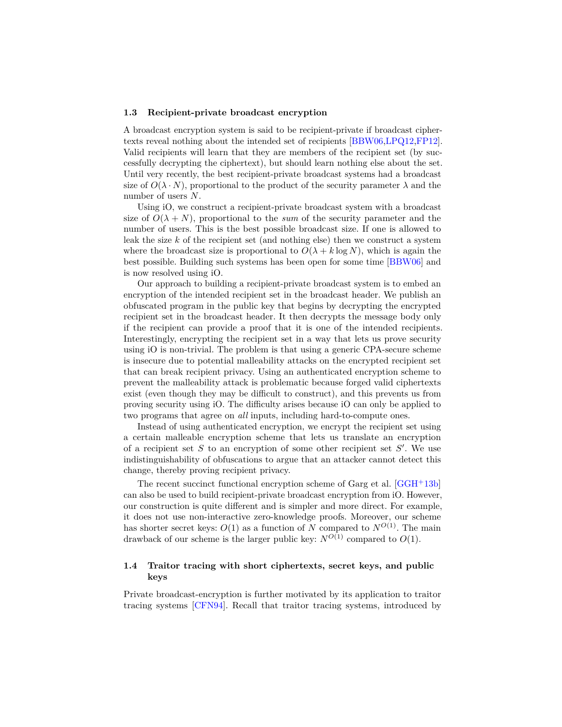## **1.3 Recipient-private broadcast encryption**

A broadcast encryption system is said to be recipient-private if broadcast ciphertexts reveal nothing about the intended set of recipients [\[BBW06](#page-15-1)[,LPQ12,](#page-18-2)[FP12\]](#page-17-9). Valid recipients will learn that they are members of the recipient set (by successfully decrypting the ciphertext), but should learn nothing else about the set. Until very recently, the best recipient-private broadcast systems had a broadcast size of  $O(\lambda \cdot N)$ , proportional to the product of the security parameter  $\lambda$  and the number of users *N*.

Using iO, we construct a recipient-private broadcast system with a broadcast size of  $O(\lambda + N)$ , proportional to the *sum* of the security parameter and the number of users. This is the best possible broadcast size. If one is allowed to leak the size *k* of the recipient set (and nothing else) then we construct a system where the broadcast size is proportional to  $O(\lambda + k \log N)$ , which is again the best possible. Building such systems has been open for some time [\[BBW06\]](#page-15-1) and is now resolved using iO.

Our approach to building a recipient-private broadcast system is to embed an encryption of the intended recipient set in the broadcast header. We publish an obfuscated program in the public key that begins by decrypting the encrypted recipient set in the broadcast header. It then decrypts the message body only if the recipient can provide a proof that it is one of the intended recipients. Interestingly, encrypting the recipient set in a way that lets us prove security using iO is non-trivial. The problem is that using a generic CPA-secure scheme is insecure due to potential malleability attacks on the encrypted recipient set that can break recipient privacy. Using an authenticated encryption scheme to prevent the malleability attack is problematic because forged valid ciphertexts exist (even though they may be difficult to construct), and this prevents us from proving security using iO. The difficulty arises because iO can only be applied to two programs that agree on *all* inputs, including hard-to-compute ones.

Instead of using authenticated encryption, we encrypt the recipient set using a certain malleable encryption scheme that lets us translate an encryption of a recipient set  $S$  to an encryption of some other recipient set  $S'$ . We use indistinguishability of obfuscations to argue that an attacker cannot detect this change, thereby proving recipient privacy.

The recent succinct functional encryption scheme of Garg et al. [\[GGH](#page-17-1)<sup>+</sup>13b] can also be used to build recipient-private broadcast encryption from iO. However, our construction is quite different and is simpler and more direct. For example, it does not use non-interactive zero-knowledge proofs. Moreover, our scheme has shorter secret keys:  $O(1)$  as a function of *N* compared to  $N^{O(1)}$ . The main drawback of our scheme is the larger public key:  $N^{O(1)}$  compared to  $O(1)$ .

# **1.4 Traitor tracing with short ciphertexts, secret keys, and public keys**

Private broadcast-encryption is further motivated by its application to traitor tracing systems [\[CFN94\]](#page-16-5). Recall that traitor tracing systems, introduced by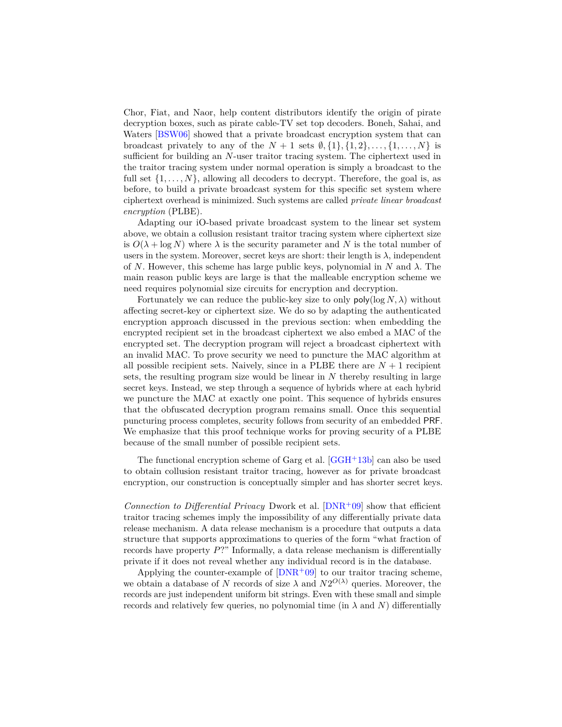Chor, Fiat, and Naor, help content distributors identify the origin of pirate decryption boxes, such as pirate cable-TV set top decoders. Boneh, Sahai, and Waters [\[BSW06\]](#page-16-6) showed that a private broadcast encryption system that can broadcast privately to any of the  $N+1$  sets  $\emptyset$ ,  $\{1\}$ ,  $\{1,2\}$ , ...,  $\{1,\ldots,N\}$  is sufficient for building an *N*-user traitor tracing system. The ciphertext used in the traitor tracing system under normal operation is simply a broadcast to the full set  $\{1, \ldots, N\}$ , allowing all decoders to decrypt. Therefore, the goal is, as before, to build a private broadcast system for this specific set system where ciphertext overhead is minimized. Such systems are called *private linear broadcast encryption* (PLBE).

Adapting our iO-based private broadcast system to the linear set system above, we obtain a collusion resistant traitor tracing system where ciphertext size is  $O(\lambda + \log N)$  where  $\lambda$  is the security parameter and N is the total number of users in the system. Moreover, secret keys are short: their length is  $\lambda$ , independent of *N*. However, this scheme has large public keys, polynomial in *N* and  $\lambda$ . The main reason public keys are large is that the malleable encryption scheme we need requires polynomial size circuits for encryption and decryption.

Fortunately we can reduce the public-key size to only  $\text{poly}(\log N, \lambda)$  without affecting secret-key or ciphertext size. We do so by adapting the authenticated encryption approach discussed in the previous section: when embedding the encrypted recipient set in the broadcast ciphertext we also embed a MAC of the encrypted set. The decryption program will reject a broadcast ciphertext with an invalid MAC. To prove security we need to puncture the MAC algorithm at all possible recipient sets. Naively, since in a PLBE there are  $N+1$  recipient sets, the resulting program size would be linear in *N* thereby resulting in large secret keys. Instead, we step through a sequence of hybrids where at each hybrid we puncture the MAC at exactly one point. This sequence of hybrids ensures that the obfuscated decryption program remains small. Once this sequential puncturing process completes, security follows from security of an embedded PRF. We emphasize that this proof technique works for proving security of a PLBE because of the small number of possible recipient sets.

The functional encryption scheme of Garg et al.  $[GGH<sup>+</sup>13b]$  $[GGH<sup>+</sup>13b]$  can also be used to obtain collusion resistant traitor tracing, however as for private broadcast encryption, our construction is conceptually simpler and has shorter secret keys.

*Connection to Differential Privacy* Dwork et al. [\[DNR](#page-17-10)<sup>+</sup>09] show that efficient traitor tracing schemes imply the impossibility of any differentially private data release mechanism. A data release mechanism is a procedure that outputs a data structure that supports approximations to queries of the form "what fraction of records have property *P*?" Informally, a data release mechanism is differentially private if it does not reveal whether any individual record is in the database.

Applying the counter-example of  $[DNR^+09]$  $[DNR^+09]$  to our traitor tracing scheme, we obtain a database of *N* records of size  $\lambda$  and  $N2^{O(\lambda)}$  queries. Moreover, the records are just independent uniform bit strings. Even with these small and simple records and relatively few queries, no polynomial time (in  $\lambda$  and  $N$ ) differentially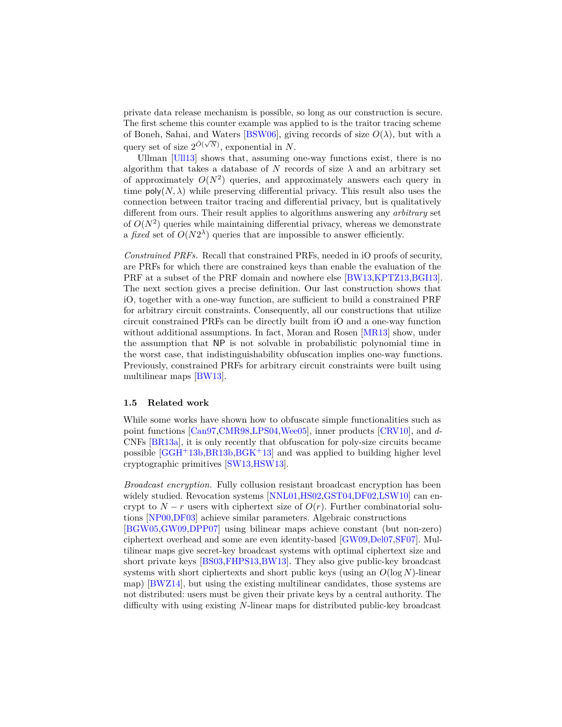private data release mechanism is possible, so long as our construction is secure. The first scheme this counter example was applied to is the traitor tracing scheme of Boneh, Sahai, and Waters [\[BSW06\]](#page-16-6), giving records of size  $O(\lambda)$ , but with a query set of size  $2^{\tilde{O}(\sqrt{N})}$ , exponential in *N*.

Ullman [\[Ull13\]](#page-18-3) shows that, assuming one-way functions exist, there is no algorithm that takes a database of N records of size  $\lambda$  and an arbitrary set of approximately  $O(N^2)$  queries, and approximately answers each query in time  $\text{poly}(N, \lambda)$  while preserving differential privacy. This result also uses the connection between traitor tracing and differential privacy, but is qualitatively different from ours. Their result applies to algorithms answering any *arbitrary* set of  $O(N^2)$  queries while maintaining differential privacy, whereas we demonstrate a *fixed* set of  $O(N2^{\lambda})$  queries that are impossible to answer efficiently.

*Constrained PRFs.* Recall that constrained PRFs, needed in iO proofs of security, are PRFs for which there are constrained keys than enable the evaluation of the PRF at a subset of the PRF domain and nowhere else [\[BW13](#page-16-2)[,KPTZ13,](#page-18-4)[BGI13\]](#page-15-2). The next section gives a precise definition. Our last construction shows that iO, together with a one-way function, are sufficient to build a constrained PRF for arbitrary circuit constraints. Consequently, all our constructions that utilize circuit constrained PRFs can be directly built from iO and a one-way function without additional assumptions. In fact, Moran and Rosen [\[MR13\]](#page-18-5) show, under the assumption that NP is not solvable in probabilistic polynomial time in the worst case, that indistinguishability obfuscation implies one-way functions. Previously, constrained PRFs for arbitrary circuit constraints were built using multilinear maps [\[BW13\]](#page-16-2).

#### **1.5 Related work**

While some works have shown how to obfuscate simple functionalities such as point functions [\[Can97](#page-16-7)[,CMR98,](#page-16-8)[LPS04](#page-18-6)[,Wee05\]](#page-18-7), inner products [\[CRV10\]](#page-16-9), and *d*-CNFs [\[BR13a\]](#page-16-10), it is only recently that obfuscation for poly-size circuits became possible  $[GGH<sup>+</sup>13b,BRI3b,BGK<sup>+</sup>13]$  $[GGH<sup>+</sup>13b,BRI3b,BGK<sup>+</sup>13]$  $[GGH<sup>+</sup>13b,BRI3b,BGK<sup>+</sup>13]$  $[GGH<sup>+</sup>13b,BRI3b,BGK<sup>+</sup>13]$  and was applied to building higher level cryptographic primitives [\[SW13,](#page-18-0)[HSW13\]](#page-17-3).

*Broadcast encryption.* Fully collusion resistant broadcast encryption has been widely studied. Revocation systems [\[NNL01](#page-18-8)[,HS02](#page-17-11)[,GST04](#page-17-12)[,DF02](#page-17-13)[,LSW10\]](#page-18-9) can encrypt to  $N - r$  users with ciphertext size of  $O(r)$ . Further combinatorial solutions [\[NP00,](#page-18-10)[DF03\]](#page-17-14) achieve similar parameters. Algebraic constructions [\[BGW05](#page-16-4)[,GW09,](#page-17-7)[DPP07\]](#page-17-8) using bilinear maps achieve constant (but non-zero) ciphertext overhead and some are even identity-based [\[GW09](#page-17-7)[,Del07](#page-16-13)[,SF07\]](#page-18-11). Multilinear maps give secret-key broadcast systems with optimal ciphertext size and short private keys [\[BS03,](#page-16-1)[FHPS13,](#page-17-5)[BW13\]](#page-16-2). They also give public-key broadcast systems with short ciphertexts and short public keys (using an *O*(log *N*)-linear map) [\[BWZ14\]](#page-16-14), but using the existing multilinear candidates, those systems are not distributed: users must be given their private keys by a central authority. The difficulty with using existing *N*-linear maps for distributed public-key broadcast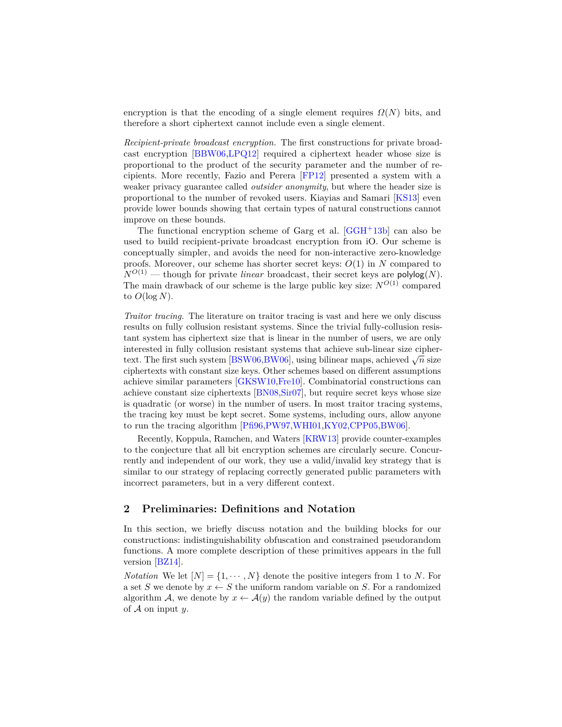encryption is that the encoding of a single element requires  $\Omega(N)$  bits, and therefore a short ciphertext cannot include even a single element.

*Recipient-private broadcast encryption.* The first constructions for private broadcast encryption [\[BBW06](#page-15-1)[,LPQ12\]](#page-18-2) required a ciphertext header whose size is proportional to the product of the security parameter and the number of recipients. More recently, Fazio and Perera [\[FP12\]](#page-17-9) presented a system with a weaker privacy guarantee called *outsider anonymity*, but where the header size is proportional to the number of revoked users. Kiayias and Samari [\[KS13\]](#page-18-12) even provide lower bounds showing that certain types of natural constructions cannot improve on these bounds.

The functional encryption scheme of Garg et al.  $[GGH<sup>+</sup>13b]$  $[GGH<sup>+</sup>13b]$  can also be used to build recipient-private broadcast encryption from iO. Our scheme is conceptually simpler, and avoids the need for non-interactive zero-knowledge proofs. Moreover, our scheme has shorter secret keys: *O*(1) in *N* compared to  $N^{O(1)}$  — though for private *linear* broadcast, their secret keys are polylog(*N*). The main drawback of our scheme is the large public key size:  $N^{O(1)}$  compared to  $O(\log N)$ .

*Traitor tracing.* The literature on traitor tracing is vast and here we only discuss results on fully collusion resistant systems. Since the trivial fully-collusion resistant system has ciphertext size that is linear in the number of users, we are only interested in fully collusion resistant systems that achieve sub-linear size cipher-text. The first such system [\[BSW06](#page-16-6)[,BW06\]](#page-16-15), using bilinear maps, achieved  $\sqrt{n}$  size ciphertexts with constant size keys. Other schemes based on different assumptions achieve similar parameters [\[GKSW10](#page-17-15)[,Fre10\]](#page-17-16). Combinatorial constructions can achieve constant size ciphertexts [\[BN08,](#page-16-16)[Sir07\]](#page-18-13), but require secret keys whose size is quadratic (or worse) in the number of users. In most traitor tracing systems, the tracing key must be kept secret. Some systems, including ours, allow anyone to run the tracing algorithm [\[Pfi96,](#page-18-14)[PW97](#page-18-15)[,WHI01](#page-18-16)[,KY02](#page-18-17)[,CPP05,](#page-16-17)[BW06\]](#page-16-15).

Recently, Koppula, Ramchen, and Waters [\[KRW13\]](#page-18-18) provide counter-examples to the conjecture that all bit encryption schemes are circularly secure. Concurrently and independent of our work, they use a valid/invalid key strategy that is similar to our strategy of replacing correctly generated public parameters with incorrect parameters, but in a very different context.

# **2 Preliminaries: Definitions and Notation**

In this section, we briefly discuss notation and the building blocks for our constructions: indistinguishability obfuscation and constrained pseudorandom functions. A more complete description of these primitives appears in the full version [\[BZ14\]](#page-16-3).

*Notation* We let  $[N] = \{1, \dots, N\}$  denote the positive integers from 1 to *N*. For a set S we denote by  $x \leftarrow S$  the uniform random variable on S. For a randomized algorithm A, we denote by  $x \leftarrow \mathcal{A}(y)$  the random variable defined by the output of A on input *y*.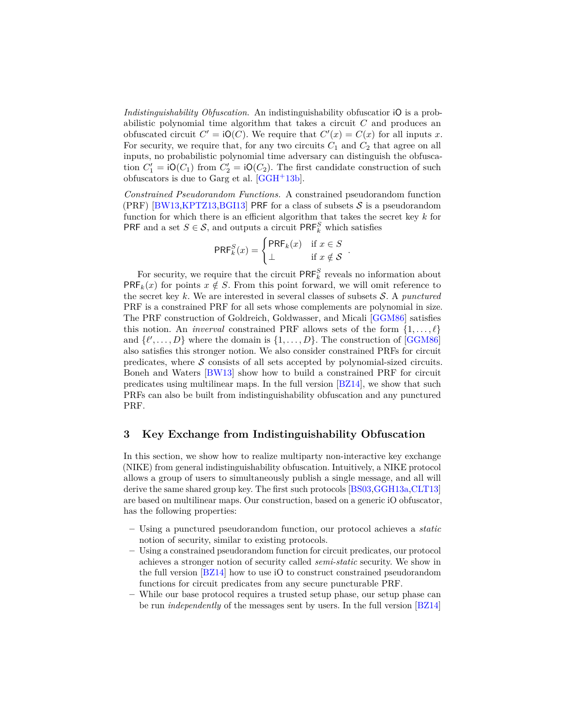*Indistinguishability Obfuscation.* An indistinguishability obfuscatior iO is a probabilistic polynomial time algorithm that takes a circuit *C* and produces an obfuscated circuit  $C' = iO(C)$ . We require that  $C'(x) = C(x)$  for all inputs *x*. For security, we require that, for any two circuits  $C_1$  and  $C_2$  that agree on all inputs, no probabilistic polynomial time adversary can distinguish the obfuscation  $C_1' = \text{iO}(C_1)$  from  $C_2' = \text{iO}(C_2)$ . The first candidate construction of such obfuscators is due to Garg et al. [\[GGH](#page-17-1)<sup>+</sup>13b].

*Constrained Pseudorandom Functions.* A constrained pseudorandom function (PRF) [\[BW13,](#page-16-2)[KPTZ13,](#page-18-4)[BGI13\]](#page-15-2) PRF for a class of subsets  $S$  is a pseudorandom function for which there is an efficient algorithm that takes the secret key *k* for PRF and a set  $S \in \mathcal{S}$ , and outputs a circuit PRF<sup>S</sup><sub>k</sub> which satisfies

$$
\mathsf{PRF}_k^S(x) = \begin{cases} \mathsf{PRF}_k(x) & \text{if } x \in S \\ \perp & \text{if } x \notin S \end{cases}.
$$

For security, we require that the circuit  $\mathsf{PRF}_k^S$  reveals no information about PRF<sub>k</sub> $(x)$  for points  $x \notin S$ . From this point forward, we will omit reference to the secret key *k*. We are interested in several classes of subsets S. A *punctured* PRF is a constrained PRF for all sets whose complements are polynomial in size. The PRF construction of Goldreich, Goldwasser, and Micali [\[GGM86\]](#page-17-17) satisfies this notion. An *inverval* constrained PRF allows sets of the form  $\{1, \ldots, \ell\}$ and  $\{\ell', \ldots, D\}$  where the domain is  $\{1, \ldots, D\}$ . The construction of [\[GGM86\]](#page-17-17) also satisfies this stronger notion. We also consider constrained PRFs for circuit predicates, where  $S$  consists of all sets accepted by polynomial-sized circuits. Boneh and Waters [\[BW13\]](#page-16-2) show how to build a constrained PRF for circuit predicates using multilinear maps. In the full version [\[BZ14\]](#page-16-3), we show that such PRFs can also be built from indistinguishability obfuscation and any punctured PRF.

## **3 Key Exchange from Indistinguishability Obfuscation**

In this section, we show how to realize multiparty non-interactive key exchange (NIKE) from general indistinguishability obfuscation. Intuitively, a NIKE protocol allows a group of users to simultaneously publish a single message, and all will derive the same shared group key. The first such protocols [\[BS03](#page-16-1)[,GGH13a](#page-17-2)[,CLT13\]](#page-16-0) are based on multilinear maps. Our construction, based on a generic iO obfuscator, has the following properties:

- **–** Using a punctured pseudorandom function, our protocol achieves a *static* notion of security, similar to existing protocols.
- **–** Using a constrained pseudorandom function for circuit predicates, our protocol achieves a stronger notion of security called *semi-static* security. We show in the full version [\[BZ14\]](#page-16-3) how to use iO to construct constrained pseudorandom functions for circuit predicates from any secure puncturable PRF.
- **–** While our base protocol requires a trusted setup phase, our setup phase can be run *independently* of the messages sent by users. In the full version [\[BZ14\]](#page-16-3)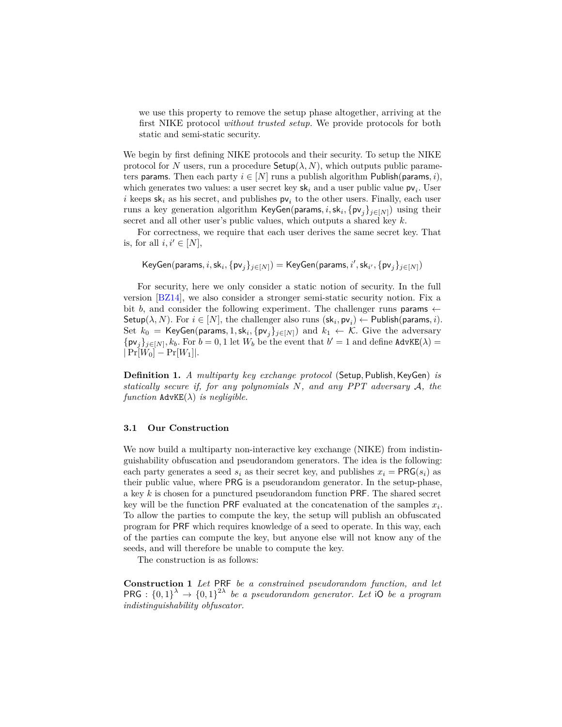we use this property to remove the setup phase altogether, arriving at the first NIKE protocol *without trusted setup.* We provide protocols for both static and semi-static security.

We begin by first defining NIKE protocols and their security. To setup the NIKE protocol for *N* users, run a procedure  $\mathsf{Setup}(\lambda, N)$ , which outputs public parameters params. Then each party  $i \in [N]$  runs a publish algorithm Publish(params, i), which generates two values: a user secret key  $sk_i$  and a user public value  $pv_i$ . User *i* keeps  $sk_i$  as his secret, and publishes  $pv_i$  to the other users. Finally, each user runs a key generation algorithm  $KeyGen(params, i, sk_i, {p \mathsf{v}_j \}_{j \in [N]})$  using their secret and all other user's public values, which outputs a shared key *k*.

For correctness, we require that each user derives the same secret key. That is, for all  $i, i' \in [N]$ ,

$$
\mathsf{KeyGen}(\mathsf{params}, i, \mathsf{sk}_i, \{\mathsf{pv}_j\}_{j \in [N]}) = \mathsf{KeyGen}(\mathsf{params}, i', \mathsf{sk}_{i'}, \{\mathsf{pv}_j\}_{j \in [N]})
$$

For security, here we only consider a static notion of security. In the full version [\[BZ14\]](#page-16-3), we also consider a stronger semi-static security notion. Fix a bit *b*, and consider the following experiment. The challenger runs params  $\leftarrow$ Setup( $\lambda$ , N). For  $i \in [N]$ , the challenger also runs  $(\mathsf{sk}_i, \mathsf{pv}_i) \leftarrow \mathsf{Published}(\mathsf{params}, i)$ . Set  $k_0$  = KeyGen(params, 1, sk<sub>i</sub>, {pv<sub>j</sub>}<sub>j∈[N]</sub>) and  $k_1 \leftarrow \mathcal{K}$ . Give the adversary  ${\cal P}[\mathsf{pv}_j]_{j\in[N]}, k_b$ . For  $b=0,1$  let  $W_b$  be the event that  $b'=1$  and define  $\text{AdvKE}(\lambda)=0$  $|Pr[W_0] - Pr[W_1]|$ .

**Definition 1.** *A multiparty key exchange protocol* (Setup*,* Publish*,*KeyGen) *is statically secure if, for any polynomials N, and any PPT adversary* A*, the function*  $\text{AdvKE}(\lambda)$  *is negligible.* 

#### **3.1 Our Construction**

We now build a multiparty non-interactive key exchange (NIKE) from indistinguishability obfuscation and pseudorandom generators. The idea is the following: each party generates a seed  $s_i$  as their secret key, and publishes  $x_i = \text{PRG}(s_i)$  as their public value, where PRG is a pseudorandom generator. In the setup-phase, a key *k* is chosen for a punctured pseudorandom function PRF. The shared secret key will be the function PRF evaluated at the concatenation of the samples  $x_i$ . To allow the parties to compute the key, the setup will publish an obfuscated program for PRF which requires knowledge of a seed to operate. In this way, each of the parties can compute the key, but anyone else will not know any of the seeds, and will therefore be unable to compute the key.

<span id="page-9-0"></span>The construction is as follows:

**Construction 1** *Let* PRF *be a constrained pseudorandom function, and let*  $PRG: \{0,1\}^{\lambda} \rightarrow \{0,1\}^{2\lambda}$  *be a pseudorandom generator. Let* iO *be a program indistinguishability obfuscator.*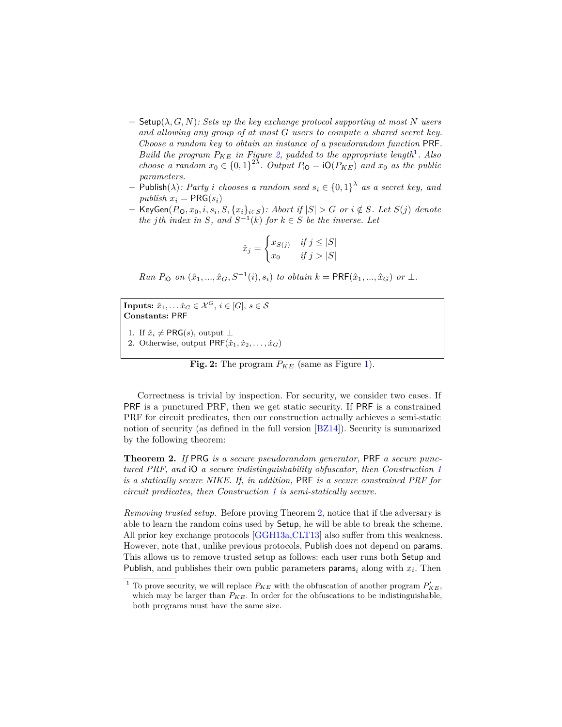- $-$  Setup( $\lambda, G, N$ )*: Sets up the key exchange protocol supporting at most N users and allowing any group of at most G users to compute a shared secret key. Choose a random key to obtain an instance of a pseudorandom function* PRF*. Build the program*  $P_{KE}$  *in Figure [2,](#page-10-0) padded to the appropriate length*<sup>[1](#page-10-1)</sup>. Also *choose a random*  $x_0 \in \{0,1\}^{2\lambda}$ . Output  $P_{i0} = iO(P_{KE})$  and  $x_0$  as the public *parameters.*
- $\left\{\n\begin{array}{l}\n\text{ Publish}(\lambda): \text{ Party } i \text{ chooses a random seed } s_i \in \{0,1\}^\lambda \text{ as a secret key, and}\n\end{array}\n\right\}$  $public x_i = PRG(s_i)$
- **–** KeyGen(*P*iO*, x*0*, i, s<sup>i</sup> , S,* {*xi*}*i*∈*S*)*: Abort if* |*S*| *> G or i /*∈ *S. Let S*(*j*) *denote the j*<sup>th</sup> index in *S*, and  $S^{-1}(k)$  for  $k \in S$  be the inverse. Let

$$
\hat{x}_j = \begin{cases} x_{S(j)} & \text{if } j \le |S| \\ x_0 & \text{if } j > |S| \end{cases}
$$

*Run*  $P_{i0}$  *on*  $(\hat{x}_1, ..., \hat{x}_G, S^{-1}(i), s_i)$  *to obtain*  $k = \text{PRF}(\hat{x}_1, ..., \hat{x}_G)$  *or* ⊥*.* 

<span id="page-10-0"></span>**Inputs:**  $\hat{x}_1, \dots, \hat{x}_G \in \mathcal{X}^G, i \in [G], s \in \mathcal{S}$ **Constants:** PRF

1. If  $\hat{x}_i \neq \textsf{PRG}(s)$ , output ⊥

2. Otherwise, output  $PRF(\hat{x}_1, \hat{x}_2, \ldots, \hat{x}_G)$ 

**Fig. 2:** The program  $P_{KE}$  (same as Figure [1\)](#page-2-0).

Correctness is trivial by inspection. For security, we consider two cases. If PRF is a punctured PRF, then we get static security. If PRF is a constrained PRF for circuit predicates, then our construction actually achieves a semi-static notion of security (as defined in the full version [\[BZ14\]](#page-16-3)). Security is summarized by the following theorem:

<span id="page-10-2"></span>**Theorem 2.** *If* PRG *is a secure pseudorandom generator,* PRF *a secure punctured PRF, and* iO *a secure indistinguishability obfuscator, then Construction [1](#page-9-0) is a statically secure NIKE. If, in addition,* PRF *is a secure constrained PRF for circuit predicates, then Construction [1](#page-9-0) is semi-statically secure.*

*Removing trusted setup.* Before proving Theorem [2,](#page-10-2) notice that if the adversary is able to learn the random coins used by Setup, he will be able to break the scheme. All prior key exchange protocols [\[GGH13a,](#page-17-2)[CLT13\]](#page-16-0) also suffer from this weakness. However, note that, unlike previous protocols, Publish does not depend on params. This allows us to remove trusted setup as follows: each user runs both Setup and Publish, and publishes their own public parameters params<sub>*i*</sub> along with  $x_i$ . Then

<span id="page-10-1"></span><sup>&</sup>lt;sup>1</sup> To prove security, we will replace  $P_{KE}$  with the obfuscation of another program  $P'_{KE}$ , which may be larger than  $P_{KE}$ . In order for the obfuscations to be indistinguishable, both programs must have the same size.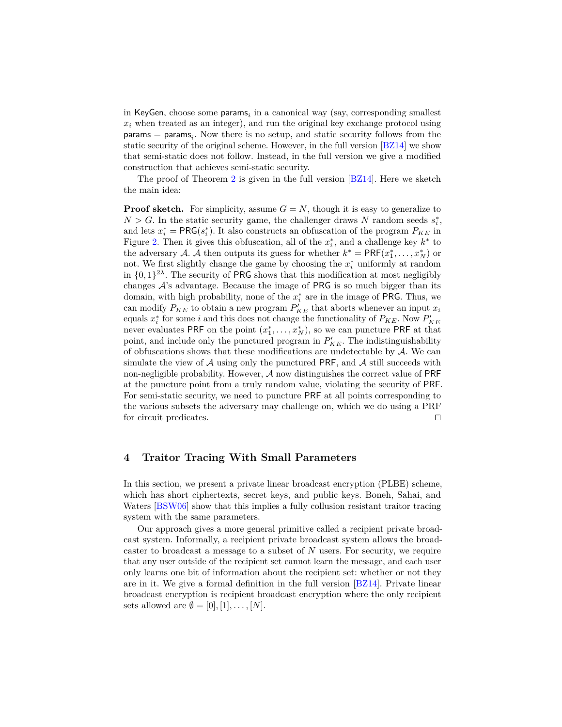in KeyGen, choose some  $\mathsf{params}_i$  in a canonical way (say, corresponding smallest  $x_i$  when treated as an integer), and run the original key exchange protocol using params = params*<sup>i</sup>* . Now there is no setup, and static security follows from the static security of the original scheme. However, in the full version [\[BZ14\]](#page-16-3) we show that semi-static does not follow. Instead, in the full version we give a modified construction that achieves semi-static security.

The proof of Theorem [2](#page-10-2) is given in the full version [\[BZ14\]](#page-16-3). Here we sketch the main idea:

**Proof sketch.** For simplicity, assume  $G = N$ , though it is easy to generalize to  $N > G$ . In the static security game, the challenger draws  $N$  random seeds  $s_i^*$ , and lets  $x_i^* = \text{PRG}(s_i^*)$ . It also constructs an obfuscation of the program  $P_{KE}$  in Figure [2.](#page-10-0) Then it gives this obfuscation, all of the  $x_i^*$ , and a challenge key  $k^*$  to the adversary A. A then outputs its guess for whether  $k^* = \text{PRF}(x_1^*, \ldots, x_N^*)$  or not. We first slightly change the game by choosing the  $x_i^*$  uniformly at random in  $\{0,1\}^{2\lambda}$ . The security of **PRG** shows that this modification at most negligibly changes  $\mathcal{A}$ 's advantage. Because the image of PRG is so much bigger than its domain, with high probability, none of the  $x_i^*$  are in the image of PRG. Thus, we can modify  $P_{KE}$  to obtain a new program  $P'_{KE}$  that aborts whenever an input  $x_i$ equals  $x_i^*$  for some *i* and this does not change the functionality of  $P_{KE}$ . Now  $P'_{KE}$ never evaluates PRF on the point  $(x_1^*, \ldots, x_N^*)$ , so we can puncture PRF at that point, and include only the punctured program in  $P'_{KE}$ . The indistinguishability of obfuscations shows that these modifications are undetectable by  $A$ . We can simulate the view of  $A$  using only the punctured PRF, and  $A$  still succeeds with non-negligible probability. However, A now distinguishes the correct value of PRF at the puncture point from a truly random value, violating the security of PRF. For semi-static security, we need to puncture PRF at all points corresponding to the various subsets the adversary may challenge on, which we do using a PRF for circuit predicates.  $\Box$ 

## **4 Traitor Tracing With Small Parameters**

In this section, we present a private linear broadcast encryption (PLBE) scheme, which has short ciphertexts, secret keys, and public keys. Boneh, Sahai, and Waters [\[BSW06\]](#page-16-6) show that this implies a fully collusion resistant traitor tracing system with the same parameters.

Our approach gives a more general primitive called a recipient private broadcast system. Informally, a recipient private broadcast system allows the broadcaster to broadcast a message to a subset of *N* users. For security, we require that any user outside of the recipient set cannot learn the message, and each user only learns one bit of information about the recipient set: whether or not they are in it. We give a formal definition in the full version [\[BZ14\]](#page-16-3). Private linear broadcast encryption is recipient broadcast encryption where the only recipient sets allowed are  $\emptyset = [0], [1], \ldots, [N]$ .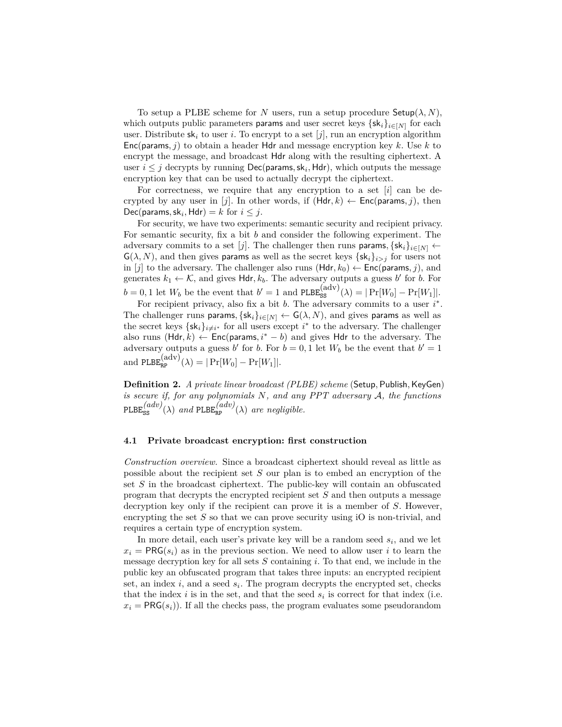To setup a PLBE scheme for *N* users, run a setup procedure  $\mathsf{Setup}(\lambda,N)$ , which outputs public parameters **params** and user secret keys  $\{sk_i\}_{i\in[N]}$  for each user. Distribute  $sk_i$  to user *i*. To encrypt to a set  $[j]$ , run an encryption algorithm Enc(params*, j*) to obtain a header Hdr and message encryption key *k*. Use *k* to encrypt the message, and broadcast Hdr along with the resulting ciphertext. A user  $i \leq j$  decrypts by running  $\mathsf{Dec}(\mathsf{params}, \mathsf{sk}_i, \mathsf{Hdr})$ , which outputs the message encryption key that can be used to actually decrypt the ciphertext.

For correctness, we require that any encryption to a set [*i*] can be decrypted by any user in [*j*]. In other words, if  $(Hdr, k) \leftarrow Enc(\text{params}, j)$ , then Dec(params, sk<sub>*i*</sub>, Hdr) =  $k$  for  $i \leq j$ .

For security, we have two experiments: semantic security and recipient privacy. For semantic security, fix a bit *b* and consider the following experiment. The adversary commits to a set [*j*]. The challenger then runs params,  $\{sk_i\}_{i\in[N]} \leftarrow$  $G(\lambda, N)$ , and then gives params as well as the secret keys  $\{sk_i\}_{i>j}$  for users not in [*j*] to the adversary. The challenger also runs  $(Hdr, k_0) \leftarrow Enc(\text{params}, j)$ , and generates  $k_1 \leftarrow \mathcal{K}$ , and gives Hdr,  $k_b$ . The adversary outputs a guess *b'* for *b*. For  $b = 0, 1$  let  $W_b$  be the event that  $b' = 1$  and  $\text{PLBE}_{ss}^{(\text{adv})}(\lambda) = |\Pr[W_0] - \Pr[W_1]|$ .

For recipient privacy, also fix a bit  $b$ . The adversary commits to a user  $i^*$ . The challenger runs params,  $\{sk_i\}_{i\in[N]} \leftarrow G(\lambda, N)$ , and gives params as well as the secret keys  $\{sk_i\}_{i\neq i^*}$  for all users except  $i^*$  to the adversary. The challenger also runs (Hdr, k) ← Enc(params,  $i^* - b$ ) and gives Hdr to the adversary. The adversary outputs a guess *b*<sup> $\prime$ </sup> for *b*. For  $b = 0, 1$  let  $W_b$  be the event that  $b' = 1$ and  $\text{PLBE}_{\text{RP}}^{\text{(adv)}}(\lambda) = |\Pr[W_0] - \Pr[W_1]|$ .

**Definition 2.** *A private linear broadcast (PLBE) scheme* (Setup*,* Publish*,*KeyGen) *is secure if, for any polynomials N, and any PPT adversary* A*, the functions*  $\text{PLE}_{\text{SS}}^{(adv)}(\lambda)$  and  $\text{PLE}_{\text{RP}}^{(adv)}(\lambda)$  are negligible.

#### **4.1 Private broadcast encryption: first construction**

*Construction overview.* Since a broadcast ciphertext should reveal as little as possible about the recipient set *S* our plan is to embed an encryption of the set *S* in the broadcast ciphertext. The public-key will contain an obfuscated program that decrypts the encrypted recipient set *S* and then outputs a message decryption key only if the recipient can prove it is a member of *S*. However, encrypting the set *S* so that we can prove security using iO is non-trivial, and requires a certain type of encryption system.

In more detail, each user's private key will be a random seed *s<sup>i</sup>* , and we let  $x_i = PRG(s_i)$  as in the previous section. We need to allow user *i* to learn the message decryption key for all sets *S* containing *i*. To that end, we include in the public key an obfuscated program that takes three inputs: an encrypted recipient set, an index *i*, and a seed *s<sup>i</sup>* . The program decrypts the encrypted set, checks that the index  $i$  is in the set, and that the seed  $s_i$  is correct for that index (i.e.  $x_i = PRG(s_i)$ ). If all the checks pass, the program evaluates some pseudorandom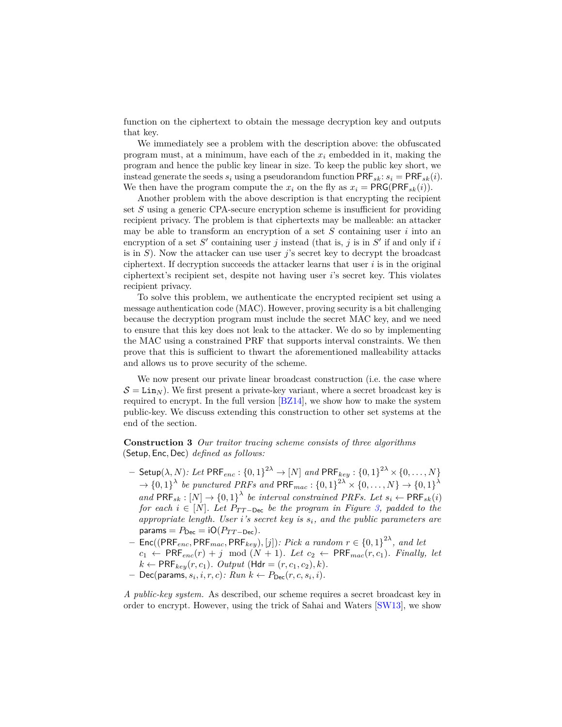function on the ciphertext to obtain the message decryption key and outputs that key.

We immediately see a problem with the description above: the obfuscated program must, at a minimum, have each of the  $x_i$  embedded in it, making the program and hence the public key linear in size. To keep the public key short, we instead generate the seeds  $s_i$  using a pseudorandom function  $PRF_{sk}: s_i = PRF_{sk}(i)$ . We then have the program compute the  $x_i$  on the fly as  $x_i = \text{PRG}(\text{PRF}_{sk}(i)).$ 

Another problem with the above description is that encrypting the recipient set *S* using a generic CPA-secure encryption scheme is insufficient for providing recipient privacy. The problem is that ciphertexts may be malleable: an attacker may be able to transform an encryption of a set *S* containing user *i* into an encryption of a set  $S'$  containing user *j* instead (that is, *j* is in  $S'$  if and only if *i* is in *S*). Now the attacker can use user *j*'s secret key to decrypt the broadcast ciphertext. If decryption succeeds the attacker learns that user *i* is in the original ciphertext's recipient set, despite not having user *i*'s secret key. This violates recipient privacy.

To solve this problem, we authenticate the encrypted recipient set using a message authentication code (MAC). However, proving security is a bit challenging because the decryption program must include the secret MAC key, and we need to ensure that this key does not leak to the attacker. We do so by implementing the MAC using a constrained PRF that supports interval constraints. We then prove that this is sufficient to thwart the aforementioned malleability attacks and allows us to prove security of the scheme.

We now present our private linear broadcast construction (i.e. the case where  $S = Lin_N$ ). We first present a private-key variant, where a secret broadcast key is required to encrypt. In the full version [\[BZ14\]](#page-16-3), we show how to make the system public-key. We discuss extending this construction to other set systems at the end of the section.

<span id="page-13-0"></span>**Construction 3** *Our traitor tracing scheme consists of three algorithms* (Setup*,* Enc*,* Dec) *defined as follows:*

- $-$  Setup $(\lambda, N)$ *: Let*  $\mathsf{PRF}_{enc} : \{0, 1\}^{2\lambda} \to [N]$  and  $\mathsf{PRF}_{key} : \{0, 1\}^{2\lambda} \times \{0, \ldots, N\}$  $\rightarrow$  {0,1}<sup> $\lambda$ </sup> be punctured PRFs and PRF<sub>mac</sub> : {0,1}<sup>2</sup> $\lambda$ </sup>  $\times$  {0,..., N}  $\rightarrow$  {0,1}<sup> $\lambda$ </sup> *and*  $\text{PRF}_{sk} : [N] \to \{0,1\}^{\lambda}$  *be interval constrained PRFs. Let*  $s_i \leftarrow \text{PRF}_{sk}(i)$ *for each*  $i \in [N]$ *. Let*  $P_{TT-\text{Dec}}$  *be the program in Figure [3,](#page-14-0) padded to the appropriate length. User i's secret key is si, and the public parameters are*  $\text{params} = P_{\text{Dec}} = \text{iO}(P_{TT-\text{Dec}}).$
- $-$  Enc((PRF<sub>enc</sub>, PRF<sub>mac</sub>, PRF<sub>key</sub>), [*j*])*: Pick a random*  $r \in \{0,1\}^{2\lambda}$ , and let  $c_1 \leftarrow \text{PRF}_{enc}(r) + j \mod (N + 1)$ *. Let*  $c_2 \leftarrow \text{PRF}_{mac}(r, c_1)$ *. Finally, let k* ← PRF<sub>*key*</sub> $(r, c_1)$ *. Output* (Hdr =  $(r, c_1, c_2)$ *, k*).  $-$  Dec(params,  $s_i$ ,  $i$ ,  $r$ ,  $c$ )*:*  $Run \; k \leftarrow P_{\mathsf{Dec}}(r, c, s_i, i)$ .

*A public-key system.* As described, our scheme requires a secret broadcast key in order to encrypt. However, using the trick of Sahai and Waters [\[SW13\]](#page-18-0), we show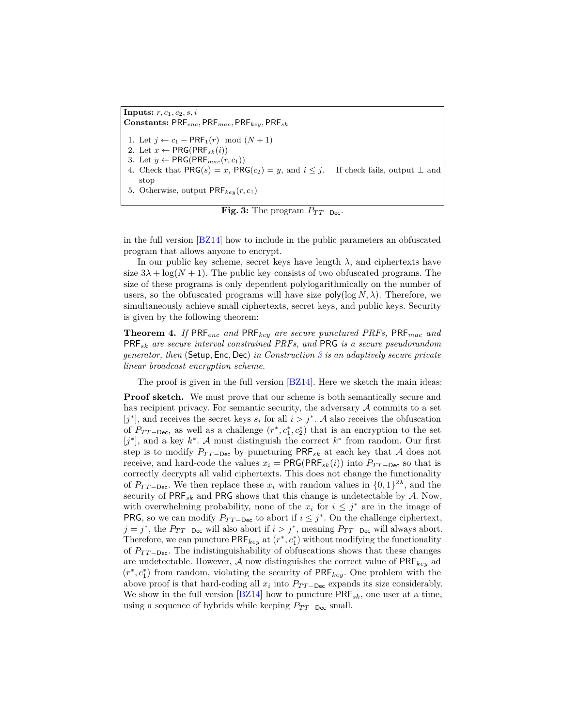<span id="page-14-0"></span>**Inputs:** *r, c*1*, c*2*, s, i* **Constants:** PRF*enc,* PRF*mac,* PRF*key,* PRF*sk* 1. Let  $j \leftarrow c_1 - PRF_1(r) \mod (N+1)$ 2. Let  $x \leftarrow \text{PRG}(\text{PRF}_{sk}(i))$ 3. Let  $y \leftarrow \text{PRG}(\text{PRF}_{mac}(r, c_1))$ 4. Check that  $PRG(s) = x$ ,  $PRG(c_2) = y$ , and  $i \leq j$ . If check fails, output  $\perp$  and stop 5. Otherwise, output PRF*key*(*r, c*1)

**Fig. 3:** The program  $P_{TT-\text{Dec}}$ .

in the full version [\[BZ14\]](#page-16-3) how to include in the public parameters an obfuscated program that allows anyone to encrypt.

In our public key scheme, secret keys have length  $\lambda$ , and ciphertexts have size  $3\lambda + \log(N + 1)$ . The public key consists of two obfuscated programs. The size of these programs is only dependent polylogarithmically on the number of users, so the obfuscated programs will have size  $\text{poly}(\log N, \lambda)$ . Therefore, we simultaneously achieve small ciphertexts, secret keys, and public keys. Security is given by the following theorem:

**Theorem 4.** *If* PRF*enc and* PRF*key are secure punctured PRFs,* PRF*mac and* PRF*sk are secure interval constrained PRFs, and* PRG *is a secure pseudorandom generator, then* (Setup*,* Enc*,* Dec) *in Construction [3](#page-13-0) is an adaptively secure private linear broadcast encryption scheme.*

The proof is given in the full version [\[BZ14\]](#page-16-3). Here we sketch the main ideas:

**Proof sketch.** We must prove that our scheme is both semantically secure and has recipient privacy. For semantic security, the adversary  $A$  commits to a set  $[j^*]$ , and receives the secret keys  $s_i$  for all  $i > j^*$ . A also receives the obfuscation of  $P_{TT-\text{Dec}}$ , as well as a challenge  $(r^*, c_1^*, c_2^*)$  that is an encryption to the set [j<sup>\*</sup>], and a key k<sup>\*</sup>. A must distinguish the correct k<sup>\*</sup> from random. Our first step is to modify  $P_{TT-\text{Dec}}$  by puncturing PRF<sub>sk</sub> at each key that A does not receive, and hard-code the values  $x_i = \text{PRG}(\text{PRF}_{sk}(i))$  into  $P_{TT-\text{Dec}}$  so that is correctly decrypts all valid ciphertexts. This does not change the functionality of  $P_{TT-\text{Dec}}$ . We then replace these  $x_i$  with random values in  $\{0,1\}^{2\lambda}$ , and the security of  $PRF_{sk}$  and PRG shows that this change is undetectable by A. Now, with overwhelming probability, none of the  $x_i$  for  $i \leq j^*$  are in the image of **PRG**, so we can modify  $P_{TT-\text{Dec}}$  to abort if  $i \leq j^*$ . On the challenge ciphertext,  $j = j^*$ , the *P*<sub>*TT* − Dec will also abort if  $i > j^*$ , meaning *P*<sub>*T*</sub> *T* − Dec will always abort.</sub> Therefore, we can puncture  $\mathsf{PRF}_{key}$  at  $(r^*, c_1^*)$  without modifying the functionality of  $P_{TT}$  –Dec. The indistinguishability of obfuscations shows that these changes are undetectable. However,  $A$  now distinguishes the correct value of  $PRF_{key}$  ad  $(r^*, c_1^*)$  from random, violating the security of  $\mathsf{PRF}_{key}$ . One problem with the above proof is that hard-coding all  $x_i$  into  $P_{TT-\text{Dec}}$  expands its size considerably. We show in the full version [\[BZ14\]](#page-16-3) how to puncture PRF*sk*, one user at a time, using a sequence of hybrids while keeping  $P_{TT−\text{Dec}}$  small.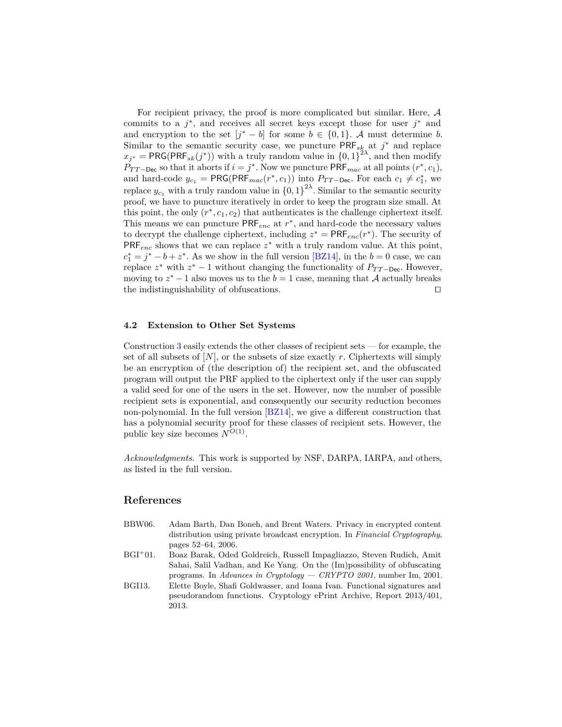For recipient privacy, the proof is more complicated but similar. Here, A commits to a *j*<sup>\*</sup>, and receives all secret keys except those for user *j*<sup>\*</sup> and and encryption to the set  $[j^* - b]$  for some  $b \in \{0, 1\}$ . A must determine *b*. Similar to the semantic security case, we puncture  $\mathsf{PRF}_{sk}$  at  $j^*$  and replace  $x_{j^*}$  = PRG(PRF<sub>*sk*</sub>(*j*<sup>\*</sup>)) with a truly random value in  $\{0,1\}^{2\lambda}$ , and then modify  $\hat{P}_{TT-\text{Dec}}$  so that it aborts if  $i = j^*$ . Now we puncture PRF<sub>*mac*</sub> at all points  $(r^*, c_1)$ , and hard-code  $y_{c_1}$  = PRG(PRF<sub>mac</sub>( $r^*$ ,  $c_1$ )) into  $P_{TT-\text{Dec}}$ . For each  $c_1 \neq c_1^*$ , we replace  $y_{c_1}$  with a truly random value in  $\{0,1\}^{2\lambda}$ . Similar to the semantic security proof, we have to puncture iteratively in order to keep the program size small. At this point, the only  $(r^*, c_1, c_2)$  that authenticates is the challenge ciphertext itself. This means we can puncture PRF*enc* at *r* ∗ , and hard-code the necessary values to decrypt the challenge ciphertext, including  $z^* = \text{PRF}_{enc}(r^*)$ . The security of  $PRF<sub>enc</sub>$  shows that we can replace  $z^*$  with a truly random value. At this point,  $c_1^* = j^* - b + z^*$ . As we show in the full version [\[BZ14\]](#page-16-3), in the  $b = 0$  case, we can replace  $z^*$  with  $z^* - 1$  without changing the functionality of  $P_{TT-\text{Dec}}$ . However, moving to  $z^* - 1$  also moves us to the  $b = 1$  case, meaning that A actually breaks the indistinguishability of obfuscations.  $\Box$ 

## **4.2 Extension to Other Set Systems**

Construction [3](#page-13-0) easily extends the other classes of recipient sets — for example, the set of all subsets of  $[N]$ , or the subsets of size exactly r. Ciphertexts will simply be an encryption of (the description of) the recipient set, and the obfuscated program will output the PRF applied to the ciphertext only if the user can supply a valid seed for one of the users in the set. However, now the number of possible recipient sets is exponential, and consequently our security reduction becomes non-polynomial. In the full version [\[BZ14\]](#page-16-3), we give a different construction that has a polynomial security proof for these classes of recipient sets. However, the public key size becomes  $N^{O(1)}$ .

*Acknowledgments.* This work is supported by NSF, DARPA, IARPA, and others, as listed in the full version.

## **References**

- <span id="page-15-1"></span>BBW06. Adam Barth, Dan Boneh, and Brent Waters. Privacy in encrypted content distribution using private broadcast encryption. In *Financial Cryptography*, pages 52–64, 2006.
- <span id="page-15-0"></span>BGI<sup>+</sup>01. Boaz Barak, Oded Goldreich, Russell Impagliazzo, Steven Rudich, Amit Sahai, Salil Vadhan, and Ke Yang. On the (Im)possibility of obfuscating programs. In *Advances in Cryptology — CRYPTO 2001*, number Im, 2001.
- <span id="page-15-2"></span>BGI13. Elette Boyle, Shafi Goldwasser, and Ioana Ivan. Functional signatures and pseudorandom functions. Cryptology ePrint Archive, Report 2013/401, 2013.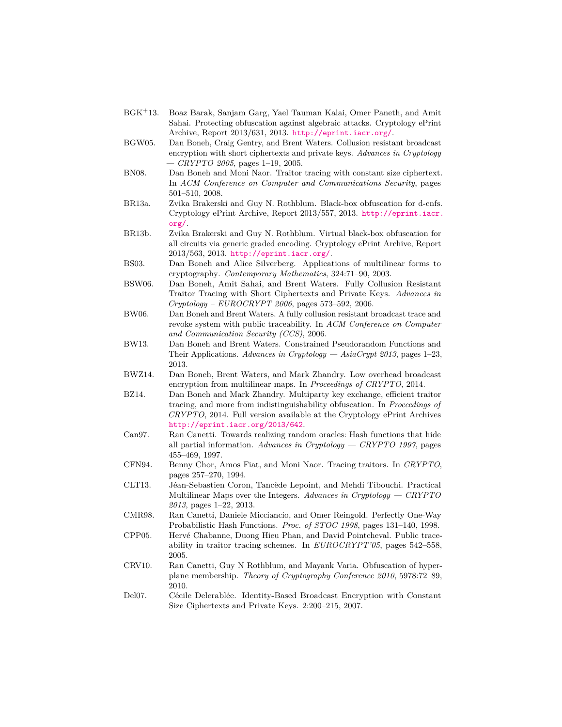- <span id="page-16-12"></span>BGK<sup>+</sup>13. Boaz Barak, Sanjam Garg, Yael Tauman Kalai, Omer Paneth, and Amit Sahai. Protecting obfuscation against algebraic attacks. Cryptology ePrint Archive, Report 2013/631, 2013. <http://eprint.iacr.org/>.
- <span id="page-16-4"></span>BGW05. Dan Boneh, Craig Gentry, and Brent Waters. Collusion resistant broadcast encryption with short ciphertexts and private keys. *Advances in Cryptology — CRYPTO 2005*, pages 1–19, 2005.
- <span id="page-16-16"></span>BN08. Dan Boneh and Moni Naor. Traitor tracing with constant size ciphertext. In *ACM Conference on Computer and Communications Security*, pages 501–510, 2008.
- <span id="page-16-10"></span>BR13a. Zvika Brakerski and Guy N. Rothblum. Black-box obfuscation for d-cnfs. Cryptology ePrint Archive, Report 2013/557, 2013. [http://eprint.iacr.](http://eprint.iacr.org/) [org/](http://eprint.iacr.org/).
- <span id="page-16-11"></span>BR13b. Zvika Brakerski and Guy N. Rothblum. Virtual black-box obfuscation for all circuits via generic graded encoding. Cryptology ePrint Archive, Report 2013/563, 2013. <http://eprint.iacr.org/>.
- <span id="page-16-1"></span>BS03. Dan Boneh and Alice Silverberg. Applications of multilinear forms to cryptography. *Contemporary Mathematics*, 324:71–90, 2003.
- <span id="page-16-6"></span>BSW06. Dan Boneh, Amit Sahai, and Brent Waters. Fully Collusion Resistant Traitor Tracing with Short Ciphertexts and Private Keys. *Advances in Cryptology – EUROCRYPT 2006*, pages 573–592, 2006.
- <span id="page-16-15"></span>BW06. Dan Boneh and Brent Waters. A fully collusion resistant broadcast trace and revoke system with public traceability. In *ACM Conference on Computer and Communication Security (CCS)*, 2006.
- <span id="page-16-2"></span>BW13. Dan Boneh and Brent Waters. Constrained Pseudorandom Functions and Their Applications. *Advances in Cryptology — AsiaCrypt 2013*, pages 1–23, 2013.
- <span id="page-16-14"></span>BWZ14. Dan Boneh, Brent Waters, and Mark Zhandry. Low overhead broadcast encryption from multilinear maps. In *Proceedings of CRYPTO*, 2014.
- <span id="page-16-3"></span>BZ14. Dan Boneh and Mark Zhandry. Multiparty key exchange, efficient traitor tracing, and more from indistinguishability obfuscation. In *Proceedings of CRYPTO*, 2014. Full version available at the Cryptology ePrint Archives <http://eprint.iacr.org/2013/642>.
- <span id="page-16-7"></span>Can97. Ran Canetti. Towards realizing random oracles: Hash functions that hide all partial information. *Advances in Cryptology — CRYPTO 1997*, pages 455–469, 1997.
- <span id="page-16-5"></span>CFN94. Benny Chor, Amos Fiat, and Moni Naor. Tracing traitors. In *CRYPTO*, pages 257–270, 1994.
- <span id="page-16-0"></span>CLT13. Jéan-Sebastien Coron, Tancède Lepoint, and Mehdi Tibouchi. Practical Multilinear Maps over the Integers. *Advances in Cryptology — CRYPTO 2013*, pages 1–22, 2013.
- <span id="page-16-8"></span>CMR98. Ran Canetti, Daniele Micciancio, and Omer Reingold. Perfectly One-Way Probabilistic Hash Functions. *Proc. of STOC 1998*, pages 131–140, 1998.
- <span id="page-16-17"></span>CPP05. Hervé Chabanne, Duong Hieu Phan, and David Pointcheval. Public traceability in traitor tracing schemes. In *EUROCRYPT'05*, pages 542–558, 2005.
- <span id="page-16-9"></span>CRV10. Ran Canetti, Guy N Rothblum, and Mayank Varia. Obfuscation of hyperplane membership. *Theory of Cryptography Conference 2010*, 5978:72–89, 2010.
- <span id="page-16-13"></span>Del07. Cécile Delerablée. Identity-Based Broadcast Encryption with Constant Size Ciphertexts and Private Keys. 2:200–215, 2007.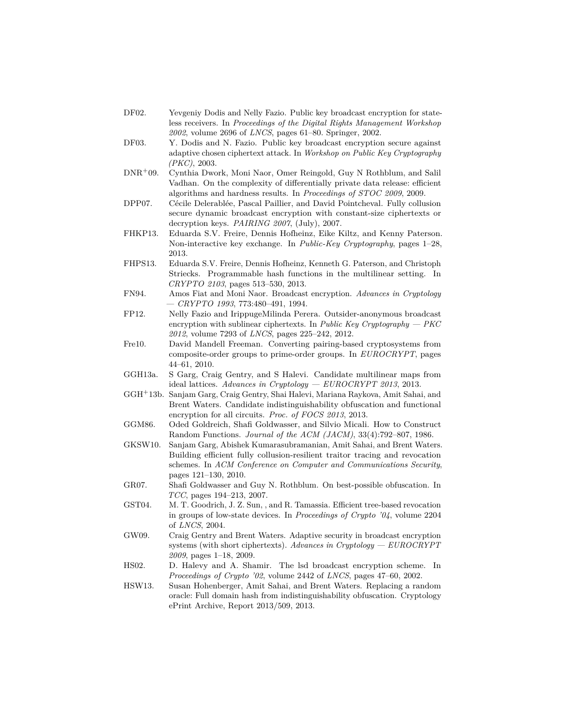- <span id="page-17-13"></span>DF02. Yevgeniy Dodis and Nelly Fazio. Public key broadcast encryption for stateless receivers. In *Proceedings of the Digital Rights Management Workshop 2002*, volume 2696 of *LNCS*, pages 61–80. Springer, 2002.
- <span id="page-17-14"></span>DF03. Y. Dodis and N. Fazio. Public key broadcast encryption secure against adaptive chosen ciphertext attack. In *Workshop on Public Key Cryptography (PKC)*, 2003.
- <span id="page-17-10"></span>DNR<sup>+</sup>09. Cynthia Dwork, Moni Naor, Omer Reingold, Guy N Rothblum, and Salil Vadhan. On the complexity of differentially private data release: efficient algorithms and hardness results. In *Proceedings of STOC 2009*, 2009.
- <span id="page-17-8"></span>DPP07. Cécile Delerablée, Pascal Paillier, and David Pointcheval. Fully collusion secure dynamic broadcast encryption with constant-size ciphertexts or decryption keys. *PAIRING 2007*, (July), 2007.
- <span id="page-17-4"></span>FHKP13. Eduarda S.V. Freire, Dennis Hofheinz, Eike Kiltz, and Kenny Paterson. Non-interactive key exchange. In *Public-Key Cryptography*, pages 1–28, 2013.
- <span id="page-17-5"></span>FHPS13. Eduarda S.V. Freire, Dennis Hofheinz, Kenneth G. Paterson, and Christoph Striecks. Programmable hash functions in the multilinear setting. In *CRYPTO 2103*, pages 513–530, 2013.
- <span id="page-17-6"></span>FN94. Amos Fiat and Moni Naor. Broadcast encryption. *Advances in Cryptology — CRYPTO 1993*, 773:480–491, 1994.
- <span id="page-17-9"></span>FP12. Nelly Fazio and IrippugeMilinda Perera. Outsider-anonymous broadcast encryption with sublinear ciphertexts. In *Public Key Cryptography — PKC 2012*, volume 7293 of *LNCS*, pages 225–242, 2012.
- <span id="page-17-16"></span>Fre10. David Mandell Freeman. Converting pairing-based cryptosystems from composite-order groups to prime-order groups. In *EUROCRYPT*, pages 44–61, 2010.
- <span id="page-17-2"></span>GGH13a. S Garg, Craig Gentry, and S Halevi. Candidate multilinear maps from ideal lattices. *Advances in Cryptology — EUROCRYPT 2013*, 2013.
- <span id="page-17-1"></span>GGH<sup>+</sup>13b. Sanjam Garg, Craig Gentry, Shai Halevi, Mariana Raykova, Amit Sahai, and Brent Waters. Candidate indistinguishability obfuscation and functional encryption for all circuits. *Proc. of FOCS 2013*, 2013.
- <span id="page-17-17"></span>GGM86. Oded Goldreich, Shafi Goldwasser, and Silvio Micali. How to Construct Random Functions. *Journal of the ACM (JACM)*, 33(4):792–807, 1986.
- <span id="page-17-15"></span>GKSW10. Sanjam Garg, Abishek Kumarasubramanian, Amit Sahai, and Brent Waters. Building efficient fully collusion-resilient traitor tracing and revocation schemes. In *ACM Conference on Computer and Communications Security*, pages 121–130, 2010.
- <span id="page-17-0"></span>GR07. Shafi Goldwasser and Guy N. Rothblum. On best-possible obfuscation. In *TCC*, pages 194–213, 2007.
- <span id="page-17-12"></span>GST04. M. T. Goodrich, J. Z. Sun, , and R. Tamassia. Efficient tree-based revocation in groups of low-state devices. In *Proceedings of Crypto '04*, volume 2204 of *LNCS*, 2004.
- <span id="page-17-7"></span>GW09. Craig Gentry and Brent Waters. Adaptive security in broadcast encryption systems (with short ciphertexts). *Advances in Cryptology — EUROCRYPT 2009*, pages 1–18, 2009.
- <span id="page-17-11"></span>HS02. D. Halevy and A. Shamir. The lsd broadcast encryption scheme. In *Proceedings of Crypto '02*, volume 2442 of *LNCS*, pages 47–60, 2002.
- <span id="page-17-3"></span>HSW13. Susan Hohenberger, Amit Sahai, and Brent Waters. Replacing a random oracle: Full domain hash from indistinguishability obfuscation. Cryptology ePrint Archive, Report 2013/509, 2013.